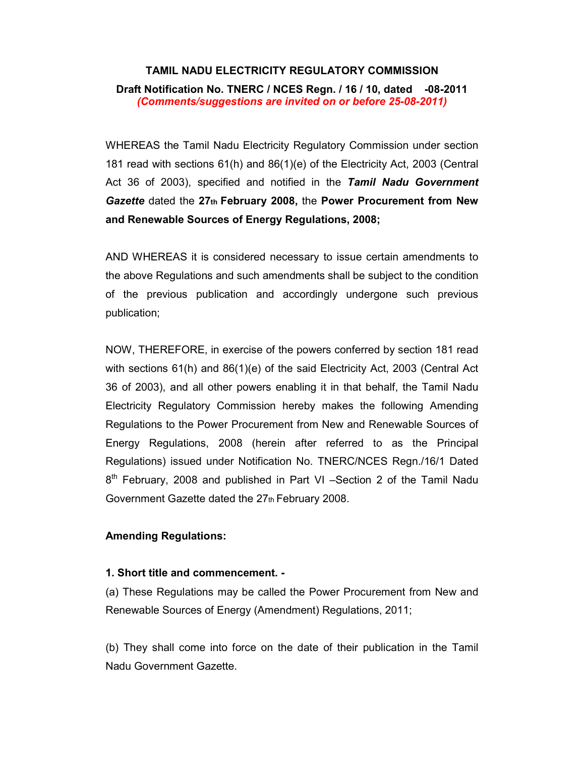# TAMIL NADU ELECTRICITY REGULATORY COMMISSION

# Draft Notification No. TNERC / NCES Regn. / 16 / 10, dated -08-2011 (Comments/suggestions are invited on or before 25-08-2011)

WHEREAS the Tamil Nadu Electricity Regulatory Commission under section 181 read with sections 61(h) and 86(1)(e) of the Electricity Act, 2003 (Central Act 36 of 2003), specified and notified in the Tamil Nadu Government Gazette dated the 27th February 2008, the Power Procurement from New and Renewable Sources of Energy Regulations, 2008;

AND WHEREAS it is considered necessary to issue certain amendments to the above Regulations and such amendments shall be subject to the condition of the previous publication and accordingly undergone such previous publication;

NOW, THEREFORE, in exercise of the powers conferred by section 181 read with sections 61(h) and 86(1)(e) of the said Electricity Act, 2003 (Central Act 36 of 2003), and all other powers enabling it in that behalf, the Tamil Nadu Electricity Regulatory Commission hereby makes the following Amending Regulations to the Power Procurement from New and Renewable Sources of Energy Regulations, 2008 (herein after referred to as the Principal Regulations) issued under Notification No. TNERC/NCES Regn./16/1 Dated 8<sup>th</sup> February, 2008 and published in Part VI -Section 2 of the Tamil Nadu Government Gazette dated the 27th February 2008.

# Amending Regulations:

# 1. Short title and commencement. -

(a) These Regulations may be called the Power Procurement from New and Renewable Sources of Energy (Amendment) Regulations, 2011;

(b) They shall come into force on the date of their publication in the Tamil Nadu Government Gazette.